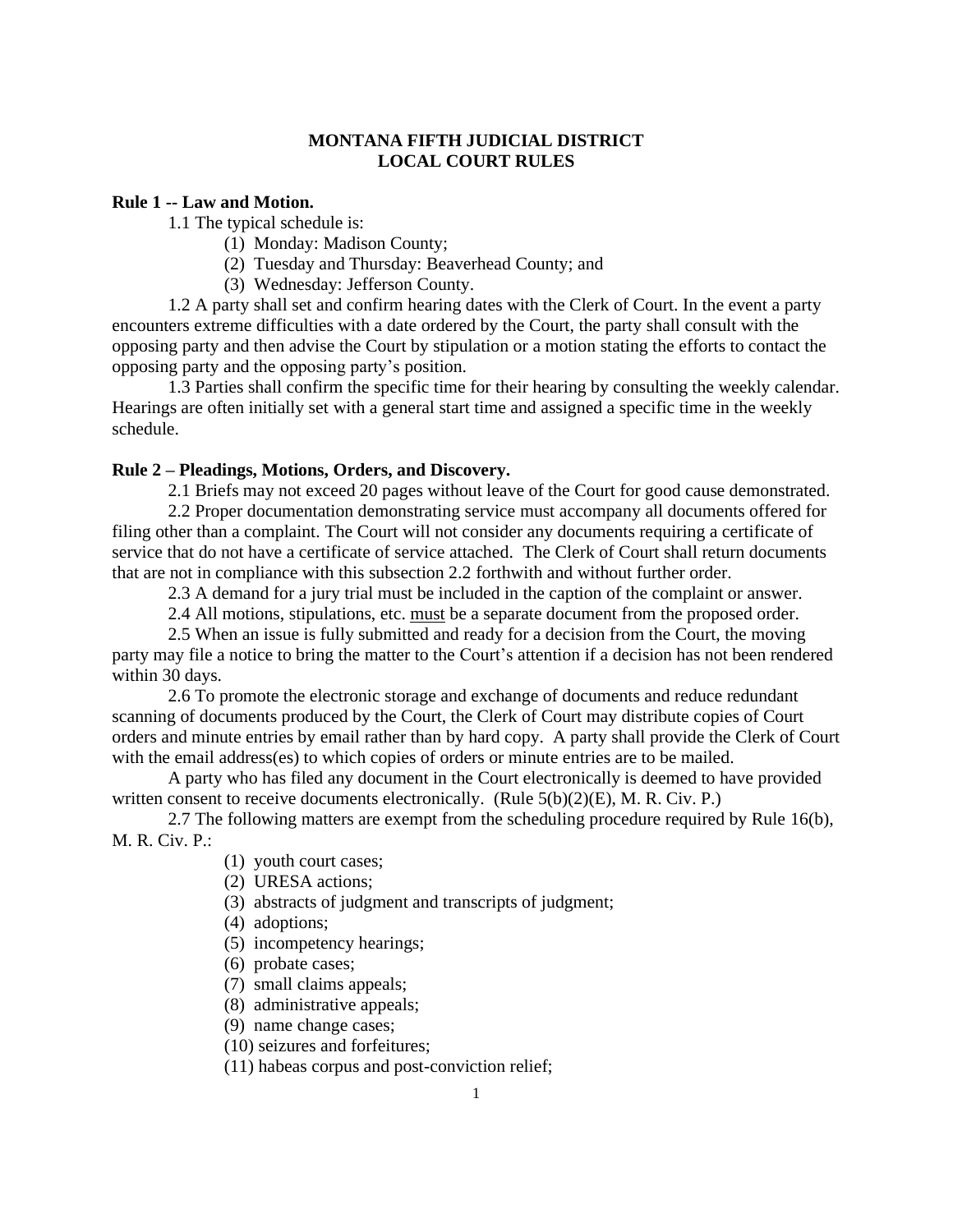## **MONTANA FIFTH JUDICIAL DISTRICT LOCAL COURT RULES**

#### **Rule 1 -- Law and Motion.**

1.1 The typical schedule is:

- (1) Monday: Madison County;
- (2) Tuesday and Thursday: Beaverhead County; and
- (3) Wednesday: Jefferson County.

1.2 A party shall set and confirm hearing dates with the Clerk of Court. In the event a party encounters extreme difficulties with a date ordered by the Court, the party shall consult with the opposing party and then advise the Court by stipulation or a motion stating the efforts to contact the opposing party and the opposing party's position.

1.3 Parties shall confirm the specific time for their hearing by consulting the weekly calendar. Hearings are often initially set with a general start time and assigned a specific time in the weekly schedule.

## **Rule 2 – Pleadings, Motions, Orders, and Discovery.**

2.1 Briefs may not exceed 20 pages without leave of the Court for good cause demonstrated.

2.2 Proper documentation demonstrating service must accompany all documents offered for filing other than a complaint. The Court will not consider any documents requiring a certificate of service that do not have a certificate of service attached. The Clerk of Court shall return documents that are not in compliance with this subsection 2.2 forthwith and without further order.

2.3 A demand for a jury trial must be included in the caption of the complaint or answer.

2.4 All motions, stipulations, etc. must be a separate document from the proposed order.

2.5 When an issue is fully submitted and ready for a decision from the Court, the moving party may file a notice to bring the matter to the Court's attention if a decision has not been rendered within 30 days.

2.6 To promote the electronic storage and exchange of documents and reduce redundant scanning of documents produced by the Court, the Clerk of Court may distribute copies of Court orders and minute entries by email rather than by hard copy. A party shall provide the Clerk of Court with the email address(es) to which copies of orders or minute entries are to be mailed.

A party who has filed any document in the Court electronically is deemed to have provided written consent to receive documents electronically. (Rule 5(b)(2)(E), M. R. Civ. P.)

2.7 The following matters are exempt from the scheduling procedure required by Rule 16(b), M. R. Civ. P.:

- (1) youth court cases;
- (2) URESA actions;
- (3) abstracts of judgment and transcripts of judgment;
- (4) adoptions;
- (5) incompetency hearings;
- (6) probate cases;
- (7) small claims appeals;
- (8) administrative appeals;
- (9) name change cases;
- (10) seizures and forfeitures;
- (11) habeas corpus and post-conviction relief;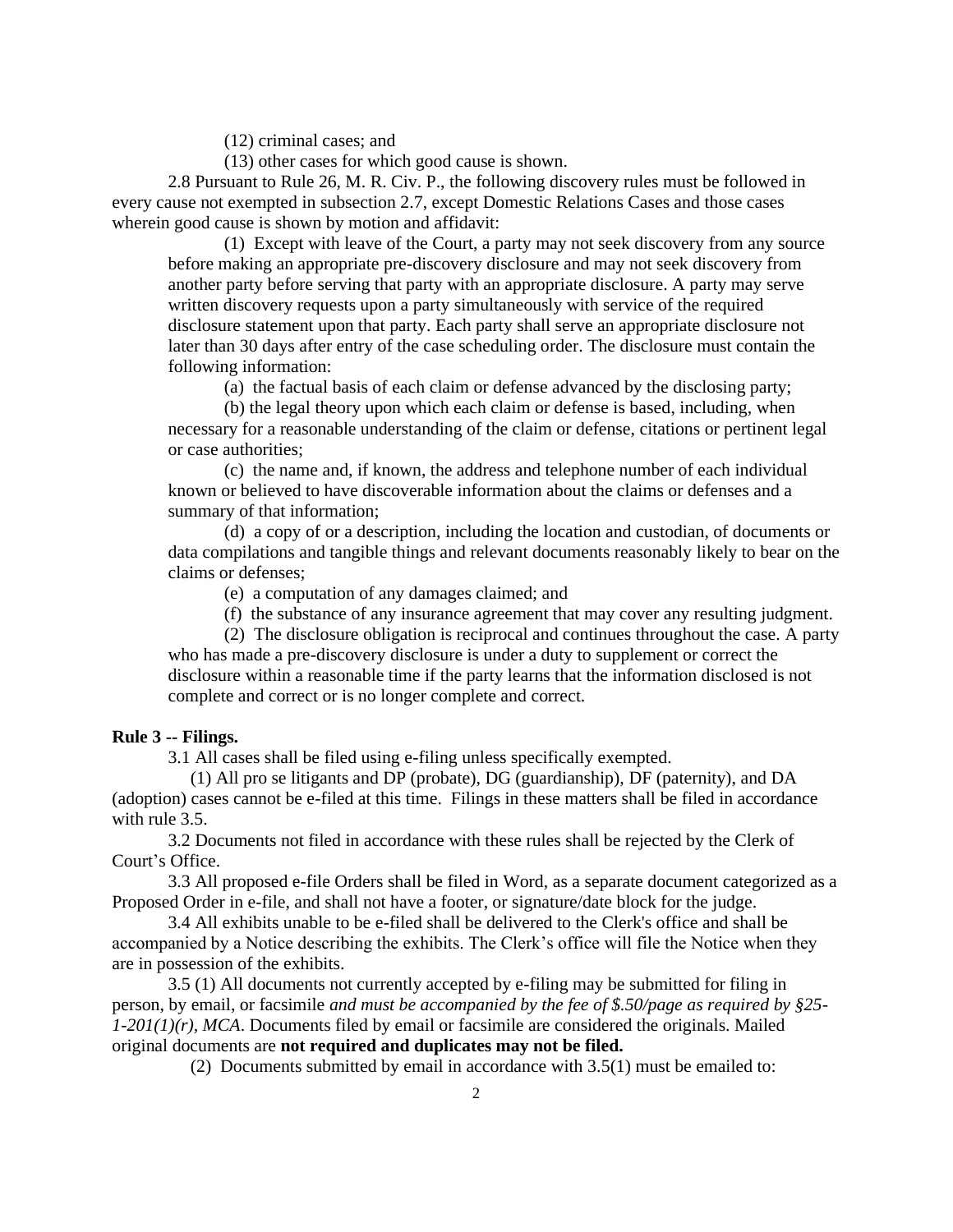(12) criminal cases; and

(13) other cases for which good cause is shown.

2.8 Pursuant to Rule 26, M. R. Civ. P., the following discovery rules must be followed in every cause not exempted in subsection 2.7, except Domestic Relations Cases and those cases wherein good cause is shown by motion and affidavit:

(1) Except with leave of the Court, a party may not seek discovery from any source before making an appropriate pre-discovery disclosure and may not seek discovery from another party before serving that party with an appropriate disclosure. A party may serve written discovery requests upon a party simultaneously with service of the required disclosure statement upon that party. Each party shall serve an appropriate disclosure not later than 30 days after entry of the case scheduling order. The disclosure must contain the following information:

(a) the factual basis of each claim or defense advanced by the disclosing party;

(b) the legal theory upon which each claim or defense is based, including, when necessary for a reasonable understanding of the claim or defense, citations or pertinent legal or case authorities;

(c) the name and, if known, the address and telephone number of each individual known or believed to have discoverable information about the claims or defenses and a summary of that information;

(d) a copy of or a description, including the location and custodian, of documents or data compilations and tangible things and relevant documents reasonably likely to bear on the claims or defenses;

(e) a computation of any damages claimed; and

(f) the substance of any insurance agreement that may cover any resulting judgment.

(2) The disclosure obligation is reciprocal and continues throughout the case. A party who has made a pre-discovery disclosure is under a duty to supplement or correct the disclosure within a reasonable time if the party learns that the information disclosed is not complete and correct or is no longer complete and correct.

### **Rule 3 -- Filings.**

3.1 All cases shall be filed using e-filing unless specifically exempted.

 (1) All pro se litigants and DP (probate), DG (guardianship), DF (paternity), and DA (adoption) cases cannot be e-filed at this time. Filings in these matters shall be filed in accordance with rule 3.5.

3.2 Documents not filed in accordance with these rules shall be rejected by the Clerk of Court's Office.

 3.3 All proposed e-file Orders shall be filed in Word, as a separate document categorized as a Proposed Order in e-file, and shall not have a footer, or signature/date block for the judge.

3.4 All exhibits unable to be e-filed shall be delivered to the Clerk's office and shall be accompanied by a Notice describing the exhibits. The Clerk's office will file the Notice when they are in possession of the exhibits.

3.5 (1) All documents not currently accepted by e-filing may be submitted for filing in person, by email, or facsimile *and must be accompanied by the fee of \$.50/page as required by §25- 1-201(1)(r), MCA*. Documents filed by email or facsimile are considered the originals. Mailed original documents are **not required and duplicates may not be filed.**

(2) Documents submitted by email in accordance with 3.5(1) must be emailed to: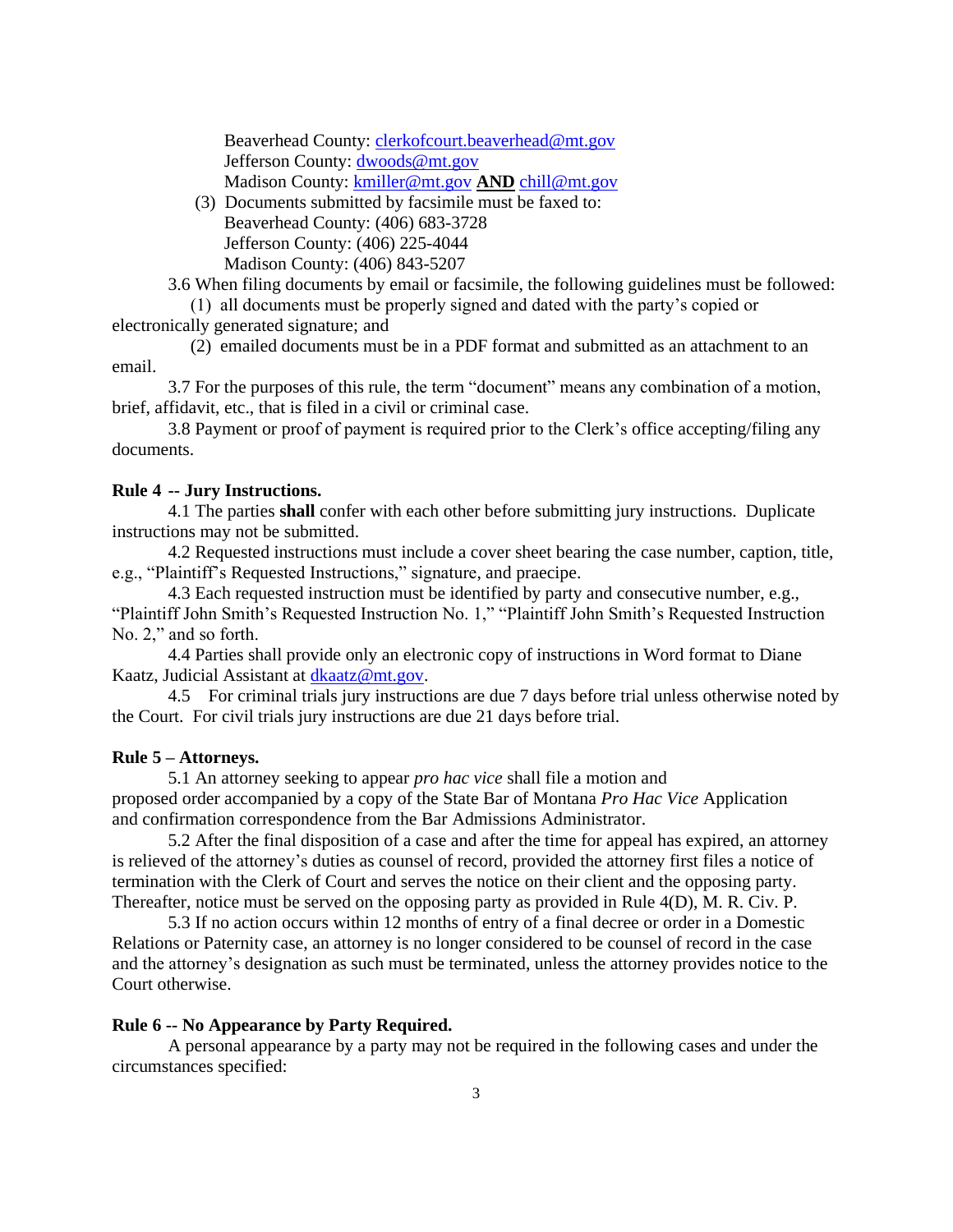Beaverhead County: [clerkofcourt.beaverhead@mt.gov](mailto:clerkofcourt.beaverhead@mt.gov) Jefferson County: [dwoods@mt.gov](mailto:dwoods@mt.gov) Madison County: [kmiller@mt.gov](mailto:kmiller@mt.gov) **AND** [chill@mt.gov](mailto:chill@mt.gov)

 (3) Documents submitted by facsimile must be faxed to: Beaverhead County: (406) 683-3728 Jefferson County: (406) 225-4044 Madison County: (406) 843-5207

3.6 When filing documents by email or facsimile, the following guidelines must be followed: (1) all documents must be properly signed and dated with the party's copied or

electronically generated signature; and

 (2) emailed documents must be in a PDF format and submitted as an attachment to an email.

3.7 For the purposes of this rule, the term "document" means any combination of a motion, brief, affidavit, etc., that is filed in a civil or criminal case.

 3.8 Payment or proof of payment is required prior to the Clerk's office accepting/filing any documents.

## **Rule 4 -- Jury Instructions.**

4.1 The parties **shall** confer with each other before submitting jury instructions. Duplicate instructions may not be submitted.

4.2 Requested instructions must include a cover sheet bearing the case number, caption, title, e.g., "Plaintiff's Requested Instructions," signature, and praecipe.

4.3 Each requested instruction must be identified by party and consecutive number, e.g., "Plaintiff John Smith's Requested Instruction No. 1," "Plaintiff John Smith's Requested Instruction No. 2," and so forth.

4.4 Parties shall provide only an electronic copy of instructions in Word format to Diane Kaatz, Judicial Assistant at [dkaatz@mt.gov.](mailto:dkaatz@mt.gov)

4.5 For criminal trials jury instructions are due 7 days before trial unless otherwise noted by the Court. For civil trials jury instructions are due 21 days before trial.

#### **Rule 5 – Attorneys.**

5.1 An attorney seeking to appear *pro hac vice* shall file a motion and proposed order accompanied by a copy of the State Bar of Montana *Pro Hac Vice* Application and confirmation correspondence from the Bar Admissions Administrator.

5.2 After the final disposition of a case and after the time for appeal has expired, an attorney is relieved of the attorney's duties as counsel of record, provided the attorney first files a notice of termination with the Clerk of Court and serves the notice on their client and the opposing party. Thereafter, notice must be served on the opposing party as provided in Rule 4(D), M. R. Civ. P.

5.3 If no action occurs within 12 months of entry of a final decree or order in a Domestic Relations or Paternity case, an attorney is no longer considered to be counsel of record in the case and the attorney's designation as such must be terminated, unless the attorney provides notice to the Court otherwise.

## **Rule 6 -- No Appearance by Party Required.**

A personal appearance by a party may not be required in the following cases and under the circumstances specified: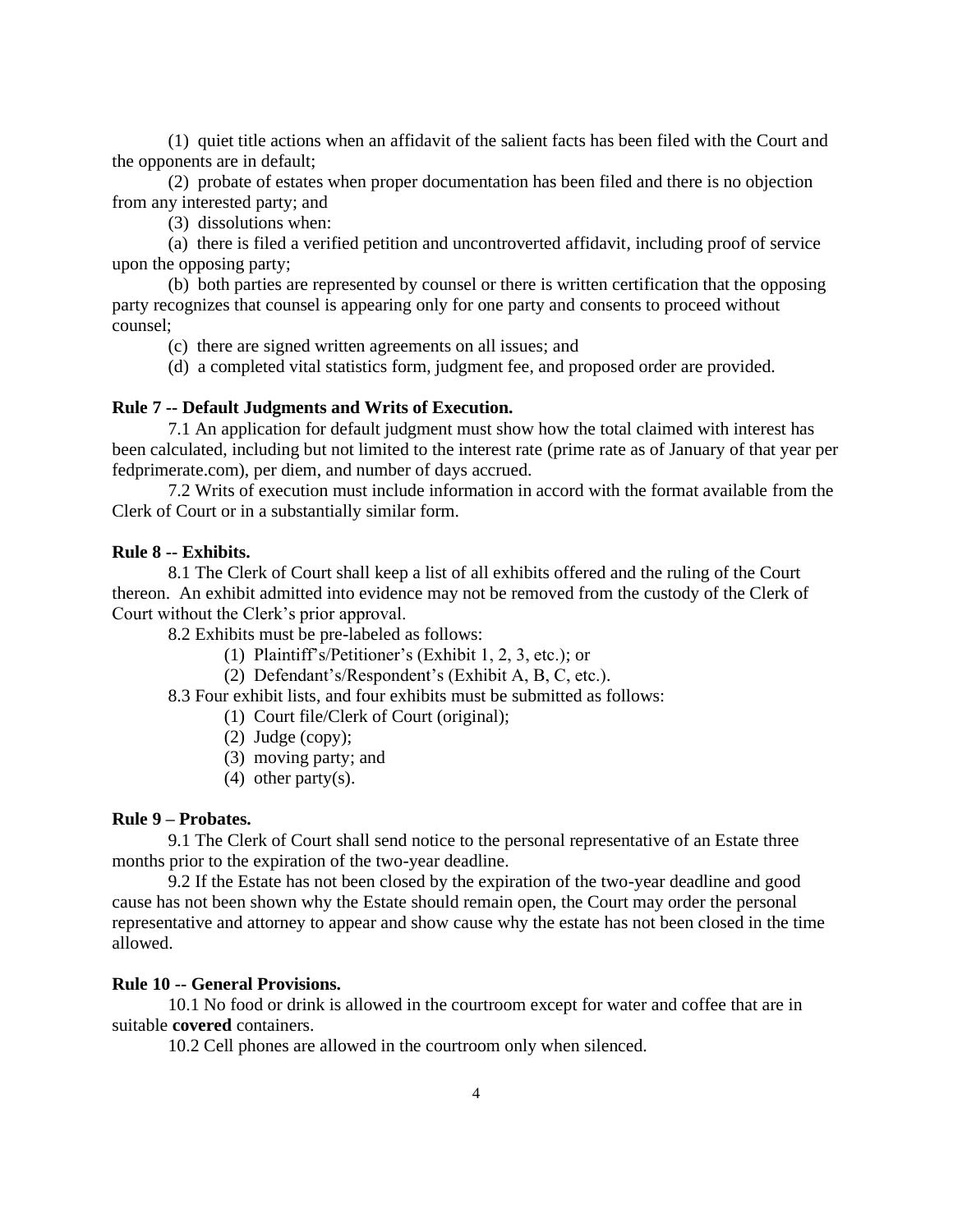(1) quiet title actions when an affidavit of the salient facts has been filed with the Court and the opponents are in default;

(2) probate of estates when proper documentation has been filed and there is no objection from any interested party; and

(3) dissolutions when:

(a) there is filed a verified petition and uncontroverted affidavit, including proof of service upon the opposing party;

(b) both parties are represented by counsel or there is written certification that the opposing party recognizes that counsel is appearing only for one party and consents to proceed without counsel;

(c) there are signed written agreements on all issues; and

(d) a completed vital statistics form, judgment fee, and proposed order are provided.

## **Rule 7 -- Default Judgments and Writs of Execution.**

7.1 An application for default judgment must show how the total claimed with interest has been calculated, including but not limited to the interest rate (prime rate as of January of that year per fedprimerate.com), per diem, and number of days accrued.

7.2 Writs of execution must include information in accord with the format available from the Clerk of Court or in a substantially similar form.

#### **Rule 8 -- Exhibits.**

8.1 The Clerk of Court shall keep a list of all exhibits offered and the ruling of the Court thereon. An exhibit admitted into evidence may not be removed from the custody of the Clerk of Court without the Clerk's prior approval.

8.2 Exhibits must be pre-labeled as follows:

- (1) Plaintiff's/Petitioner's (Exhibit 1, 2, 3, etc.); or
- (2) Defendant's/Respondent's (Exhibit A, B, C, etc.).

8.3 Four exhibit lists, and four exhibits must be submitted as follows:

- (1) Court file/Clerk of Court (original);
- (2) Judge (copy);
- (3) moving party; and
- (4) other party(s).

# **Rule 9 – Probates.**

9.1 The Clerk of Court shall send notice to the personal representative of an Estate three months prior to the expiration of the two-year deadline.

9.2 If the Estate has not been closed by the expiration of the two-year deadline and good cause has not been shown why the Estate should remain open, the Court may order the personal representative and attorney to appear and show cause why the estate has not been closed in the time allowed.

#### **Rule 10 -- General Provisions.**

10.1 No food or drink is allowed in the courtroom except for water and coffee that are in suitable **covered** containers.

10.2 Cell phones are allowed in the courtroom only when silenced.